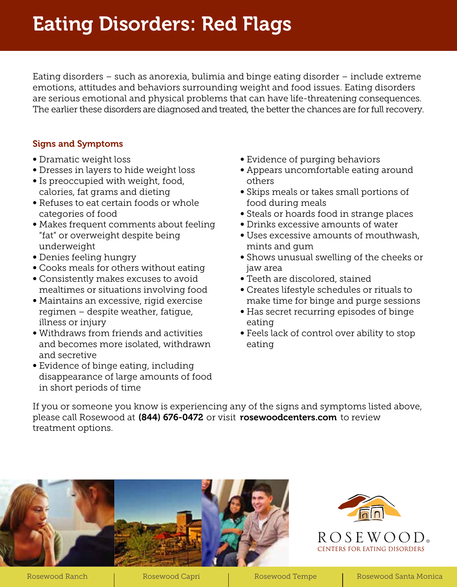# Eating Disorders: Red Flags

Eating disorders – such as anorexia, bulimia and binge eating disorder – include extreme emotions, attitudes and behaviors surrounding weight and food issues. Eating disorders are serious emotional and physical problems that can have life-threatening consequences. The earlier these disorders are diagnosed and treated, the better the chances are for full recovery.

# Signs and Symptoms

- ∞ Dramatic weight loss
- ∞ Dresses in layers to hide weight loss
- ∞ Is preoccupied with weight, food, calories, fat grams and dieting
- ∞ Refuses to eat certain foods or whole categories of food
- ∞ Makes frequent comments about feeling "fat" or overweight despite being underweight
- ∞ Denies feeling hungry
- ∞ Cooks meals for others without eating
- ∞ Consistently makes excuses to avoid mealtimes or situations involving food
- ∞ Maintains an excessive, rigid exercise regimen – despite weather, fatigue, illness or injury
- ∞ Withdraws from friends and activities and becomes more isolated, withdrawn and secretive
- ∞ Evidence of binge eating, including disappearance of large amounts of food in short periods of time
- ∞ Evidence of purging behaviors
- ∞ Appears uncomfortable eating around others
- ∞ Skips meals or takes small portions of food during meals
- ∞ Steals or hoards food in strange places
- ∞ Drinks excessive amounts of water
- ∞ Uses excessive amounts of mouthwash, mints and gum
- ∞ Shows unusual swelling of the cheeks or jaw area
- ∞ Teeth are discolored, stained
- ∞ Creates lifestyle schedules or rituals to make time for binge and purge sessions
- ∞ Has secret recurring episodes of binge eating
- ∞ Feels lack of control over ability to stop eating

If you or someone you know is experiencing any of the signs and symptoms listed above, please call Rosewood at (844) 676-0472 or visit rosewoodcenters.com to review treatment options.